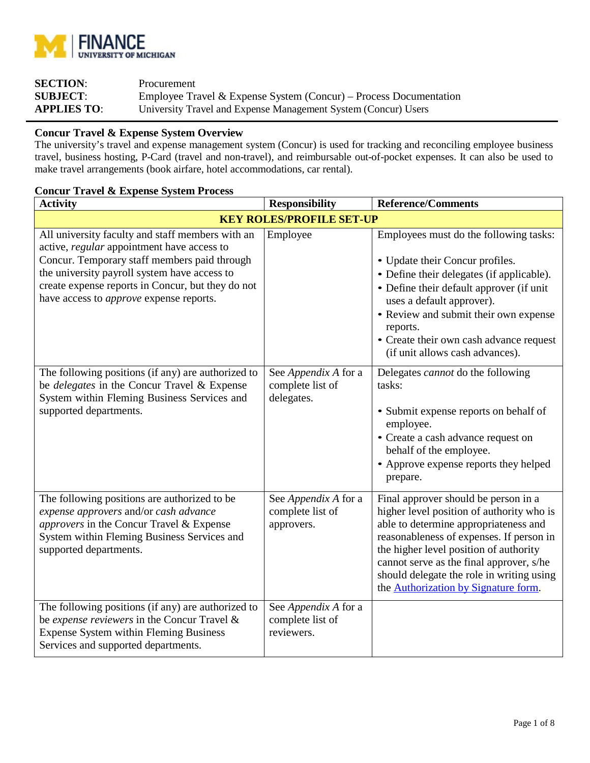

| <b>SECTION:</b>    | Procurement                                                       |
|--------------------|-------------------------------------------------------------------|
| <b>SUBJECT:</b>    | Employee Travel & Expense System (Concur) – Process Documentation |
| <b>APPLIES TO:</b> | University Travel and Expense Management System (Concur) Users    |

### **Concur Travel & Expense System Overview**

The university's travel and expense management system (Concur) is used for tracking and reconciling employee business travel, business hosting, P-Card (travel and non-travel), and reimbursable out-of-pocket expenses. It can also be used to make travel arrangements (book airfare, hotel accommodations, car rental).

# **Concur Travel & Expense System Process**

| <b>Activity</b>                                                                                                                                                                                                                                                                                       | <b>Responsibility</b>                                  | <b>Reference/Comments</b>                                                                                                                                                                                                                                                                                                                                |  |  |
|-------------------------------------------------------------------------------------------------------------------------------------------------------------------------------------------------------------------------------------------------------------------------------------------------------|--------------------------------------------------------|----------------------------------------------------------------------------------------------------------------------------------------------------------------------------------------------------------------------------------------------------------------------------------------------------------------------------------------------------------|--|--|
| <b>KEY ROLES/PROFILE SET-UP</b>                                                                                                                                                                                                                                                                       |                                                        |                                                                                                                                                                                                                                                                                                                                                          |  |  |
| All university faculty and staff members with an<br>active, regular appointment have access to<br>Concur. Temporary staff members paid through<br>the university payroll system have access to<br>create expense reports in Concur, but they do not<br>have access to <i>approve</i> expense reports. | Employee                                               | Employees must do the following tasks:<br>• Update their Concur profiles.<br>• Define their delegates (if applicable).<br>• Define their default approver (if unit<br>uses a default approver).<br>• Review and submit their own expense<br>reports.<br>• Create their own cash advance request<br>(if unit allows cash advances).                       |  |  |
| The following positions (if any) are authorized to<br>be <i>delegates</i> in the Concur Travel & Expense<br>System within Fleming Business Services and<br>supported departments.                                                                                                                     | See Appendix A for a<br>complete list of<br>delegates. | Delegates <i>cannot</i> do the following<br>tasks:<br>• Submit expense reports on behalf of<br>employee.<br>• Create a cash advance request on<br>behalf of the employee.<br>• Approve expense reports they helped<br>prepare.                                                                                                                           |  |  |
| The following positions are authorized to be<br>expense approvers and/or cash advance<br>approvers in the Concur Travel & Expense<br>System within Fleming Business Services and<br>supported departments.                                                                                            | See Appendix A for a<br>complete list of<br>approvers. | Final approver should be person in a<br>higher level position of authority who is<br>able to determine appropriateness and<br>reasonableness of expenses. If person in<br>the higher level position of authority<br>cannot serve as the final approver, s/he<br>should delegate the role in writing using<br>the <b>Authorization</b> by Signature form. |  |  |
| The following positions (if any) are authorized to<br>be expense reviewers in the Concur Travel &<br><b>Expense System within Fleming Business</b><br>Services and supported departments.                                                                                                             | See Appendix A for a<br>complete list of<br>reviewers. |                                                                                                                                                                                                                                                                                                                                                          |  |  |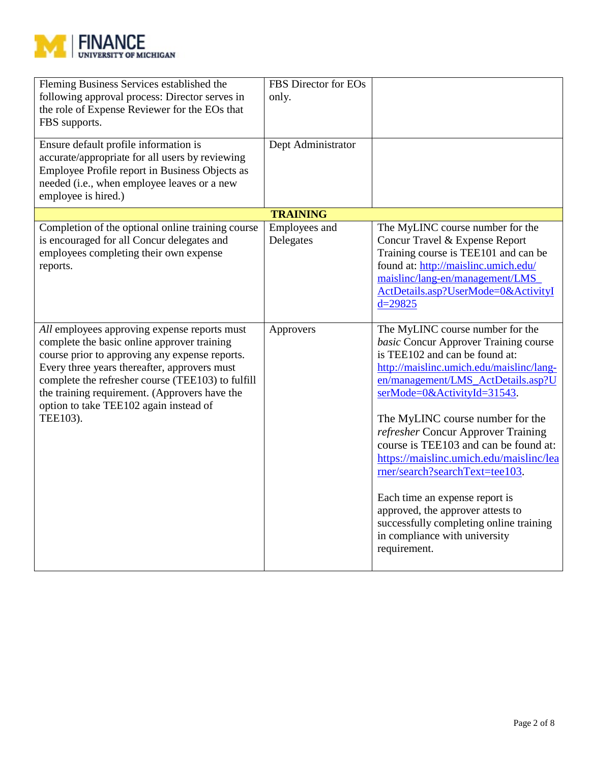

| Fleming Business Services established the<br>following approval process: Director serves in<br>the role of Expense Reviewer for the EOs that<br>FBS supports.<br>Ensure default profile information is<br>accurate/appropriate for all users by reviewing<br>Employee Profile report in Business Objects as<br>needed (i.e., when employee leaves or a new<br>employee is hired.) | FBS Director for EOs<br>only.<br>Dept Administrator |                                                                                                                                                                                                                                                                                                                                                                                                                                                                                                                                                                                                 |
|-----------------------------------------------------------------------------------------------------------------------------------------------------------------------------------------------------------------------------------------------------------------------------------------------------------------------------------------------------------------------------------|-----------------------------------------------------|-------------------------------------------------------------------------------------------------------------------------------------------------------------------------------------------------------------------------------------------------------------------------------------------------------------------------------------------------------------------------------------------------------------------------------------------------------------------------------------------------------------------------------------------------------------------------------------------------|
| Completion of the optional online training course                                                                                                                                                                                                                                                                                                                                 | <b>TRAINING</b><br>Employees and                    | The MyLINC course number for the                                                                                                                                                                                                                                                                                                                                                                                                                                                                                                                                                                |
| is encouraged for all Concur delegates and<br>employees completing their own expense<br>reports.                                                                                                                                                                                                                                                                                  | Delegates                                           | Concur Travel & Expense Report<br>Training course is TEE101 and can be<br>found at: http://maislinc.umich.edu/<br>maislinc/lang-en/management/LMS<br>ActDetails.asp?UserMode=0&ActivityI<br>$d = 29825$                                                                                                                                                                                                                                                                                                                                                                                         |
| All employees approving expense reports must<br>complete the basic online approver training<br>course prior to approving any expense reports.<br>Every three years thereafter, approvers must<br>complete the refresher course (TEE103) to fulfill<br>the training requirement. (Approvers have the<br>option to take TEE102 again instead of<br>TEE103).                         | Approvers                                           | The MyLINC course number for the<br>basic Concur Approver Training course<br>is TEE102 and can be found at:<br>http://maislinc.umich.edu/maislinc/lang-<br>en/management/LMS_ActDetails.asp?U<br>serMode=0&ActivityId=31543.<br>The MyLINC course number for the<br>refresher Concur Approver Training<br>course is TEE103 and can be found at:<br>https://maislinc.umich.edu/maislinc/lea<br>rner/search?searchText=tee103.<br>Each time an expense report is<br>approved, the approver attests to<br>successfully completing online training<br>in compliance with university<br>requirement. |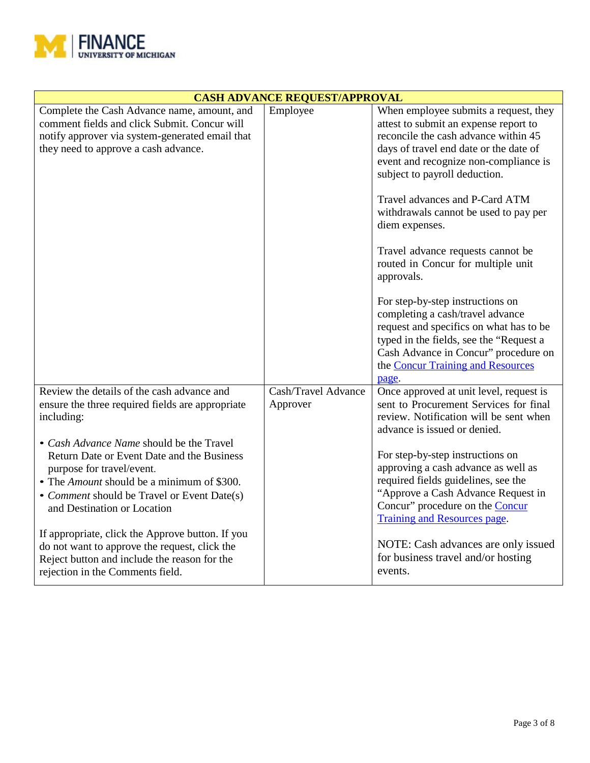

| <b>CASH ADVANCE REQUEST/APPROVAL</b>                                                                                                                                                                                                                                                                                                                                                                                                                                                                                                                            |                                 |                                                                                                                                                                                                                                                                                                                                                                                                                                                                                                                                                                                                                                                                                      |  |
|-----------------------------------------------------------------------------------------------------------------------------------------------------------------------------------------------------------------------------------------------------------------------------------------------------------------------------------------------------------------------------------------------------------------------------------------------------------------------------------------------------------------------------------------------------------------|---------------------------------|--------------------------------------------------------------------------------------------------------------------------------------------------------------------------------------------------------------------------------------------------------------------------------------------------------------------------------------------------------------------------------------------------------------------------------------------------------------------------------------------------------------------------------------------------------------------------------------------------------------------------------------------------------------------------------------|--|
| Complete the Cash Advance name, amount, and<br>comment fields and click Submit. Concur will<br>notify approver via system-generated email that<br>they need to approve a cash advance.                                                                                                                                                                                                                                                                                                                                                                          | Employee                        | When employee submits a request, they<br>attest to submit an expense report to<br>reconcile the cash advance within 45<br>days of travel end date or the date of<br>event and recognize non-compliance is<br>subject to payroll deduction.<br>Travel advances and P-Card ATM<br>withdrawals cannot be used to pay per<br>diem expenses.<br>Travel advance requests cannot be<br>routed in Concur for multiple unit<br>approvals.<br>For step-by-step instructions on<br>completing a cash/travel advance<br>request and specifics on what has to be<br>typed in the fields, see the "Request a<br>Cash Advance in Concur" procedure on<br>the Concur Training and Resources<br>page. |  |
| Review the details of the cash advance and<br>ensure the three required fields are appropriate<br>including:<br>• Cash Advance Name should be the Travel<br>Return Date or Event Date and the Business<br>purpose for travel/event.<br>• The <i>Amount</i> should be a minimum of \$300.<br>• Comment should be Travel or Event Date(s)<br>and Destination or Location<br>If appropriate, click the Approve button. If you<br>do not want to approve the request, click the<br>Reject button and include the reason for the<br>rejection in the Comments field. | Cash/Travel Advance<br>Approver | Once approved at unit level, request is<br>sent to Procurement Services for final<br>review. Notification will be sent when<br>advance is issued or denied.<br>For step-by-step instructions on<br>approving a cash advance as well as<br>required fields guidelines, see the<br>"Approve a Cash Advance Request in<br>Concur" procedure on the Concur<br><b>Training and Resources page.</b><br>NOTE: Cash advances are only issued<br>for business travel and/or hosting<br>events.                                                                                                                                                                                                |  |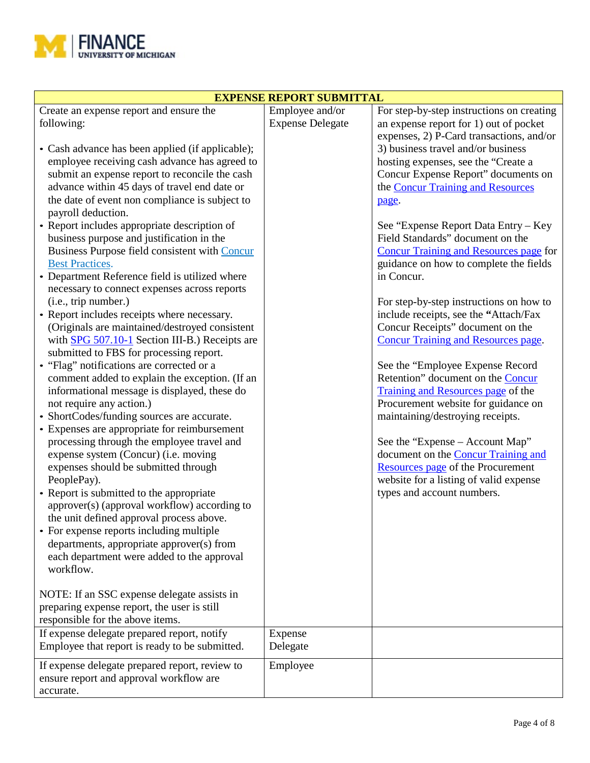

| <b>EXPENSE REPORT SUBMITTAL</b>                                                                                                                                                                                                                                                                                                                                                                                                                                                                                                                                                                                                                                                                                                                                                                                                                                                                                                                                                                                                                                                                                                                                                                                                                                                                                                                                                                                                                                                                                                                                                                                                                        |                                            |                                                                                                                                                                                                                                                                                                                                                                                                                                                                                                                                                                                                                                                                                                                                                                                                                                                                                                                                                                                                                                                      |  |  |
|--------------------------------------------------------------------------------------------------------------------------------------------------------------------------------------------------------------------------------------------------------------------------------------------------------------------------------------------------------------------------------------------------------------------------------------------------------------------------------------------------------------------------------------------------------------------------------------------------------------------------------------------------------------------------------------------------------------------------------------------------------------------------------------------------------------------------------------------------------------------------------------------------------------------------------------------------------------------------------------------------------------------------------------------------------------------------------------------------------------------------------------------------------------------------------------------------------------------------------------------------------------------------------------------------------------------------------------------------------------------------------------------------------------------------------------------------------------------------------------------------------------------------------------------------------------------------------------------------------------------------------------------------------|--------------------------------------------|------------------------------------------------------------------------------------------------------------------------------------------------------------------------------------------------------------------------------------------------------------------------------------------------------------------------------------------------------------------------------------------------------------------------------------------------------------------------------------------------------------------------------------------------------------------------------------------------------------------------------------------------------------------------------------------------------------------------------------------------------------------------------------------------------------------------------------------------------------------------------------------------------------------------------------------------------------------------------------------------------------------------------------------------------|--|--|
| Create an expense report and ensure the<br>following:<br>• Cash advance has been applied (if applicable);<br>employee receiving cash advance has agreed to<br>submit an expense report to reconcile the cash<br>advance within 45 days of travel end date or<br>the date of event non compliance is subject to<br>payroll deduction.<br>• Report includes appropriate description of<br>business purpose and justification in the<br>Business Purpose field consistent with Concur<br><b>Best Practices.</b><br>• Department Reference field is utilized where<br>necessary to connect expenses across reports<br>(i.e., trip number.)<br>• Report includes receipts where necessary.<br>(Originals are maintained/destroyed consistent<br>with $SPG$ 507.10-1 Section III-B.) Receipts are<br>submitted to FBS for processing report.<br>• "Flag" notifications are corrected or a<br>comment added to explain the exception. (If an<br>informational message is displayed, these do<br>not require any action.)<br>• ShortCodes/funding sources are accurate.<br>• Expenses are appropriate for reimbursement<br>processing through the employee travel and<br>expense system (Concur) (i.e. moving<br>expenses should be submitted through<br>PeoplePay).<br>• Report is submitted to the appropriate<br>approver(s) (approval workflow) according to<br>the unit defined approval process above.<br>• For expense reports including multiple<br>departments, appropriate approver(s) from<br>each department were added to the approval<br>workflow.<br>NOTE: If an SSC expense delegate assists in<br>preparing expense report, the user is still | Employee and/or<br><b>Expense Delegate</b> | For step-by-step instructions on creating<br>an expense report for 1) out of pocket<br>expenses, 2) P-Card transactions, and/or<br>3) business travel and/or business<br>hosting expenses, see the "Create a<br>Concur Expense Report" documents on<br>the <b>Concur Training and Resources</b><br>page.<br>See "Expense Report Data Entry - Key<br>Field Standards" document on the<br><b>Concur Training and Resources page for</b><br>guidance on how to complete the fields<br>in Concur.<br>For step-by-step instructions on how to<br>include receipts, see the "Attach/Fax<br>Concur Receipts" document on the<br><b>Concur Training and Resources page.</b><br>See the "Employee Expense Record<br>Retention" document on the Concur<br>Training and Resources page of the<br>Procurement website for guidance on<br>maintaining/destroying receipts.<br>See the "Expense – Account Map"<br>document on the Concur Training and<br>Resources page of the Procurement<br>website for a listing of valid expense<br>types and account numbers. |  |  |
|                                                                                                                                                                                                                                                                                                                                                                                                                                                                                                                                                                                                                                                                                                                                                                                                                                                                                                                                                                                                                                                                                                                                                                                                                                                                                                                                                                                                                                                                                                                                                                                                                                                        |                                            |                                                                                                                                                                                                                                                                                                                                                                                                                                                                                                                                                                                                                                                                                                                                                                                                                                                                                                                                                                                                                                                      |  |  |
| responsible for the above items.                                                                                                                                                                                                                                                                                                                                                                                                                                                                                                                                                                                                                                                                                                                                                                                                                                                                                                                                                                                                                                                                                                                                                                                                                                                                                                                                                                                                                                                                                                                                                                                                                       |                                            |                                                                                                                                                                                                                                                                                                                                                                                                                                                                                                                                                                                                                                                                                                                                                                                                                                                                                                                                                                                                                                                      |  |  |
| If expense delegate prepared report, notify<br>Employee that report is ready to be submitted.                                                                                                                                                                                                                                                                                                                                                                                                                                                                                                                                                                                                                                                                                                                                                                                                                                                                                                                                                                                                                                                                                                                                                                                                                                                                                                                                                                                                                                                                                                                                                          | Expense<br>Delegate                        |                                                                                                                                                                                                                                                                                                                                                                                                                                                                                                                                                                                                                                                                                                                                                                                                                                                                                                                                                                                                                                                      |  |  |
| If expense delegate prepared report, review to<br>ensure report and approval workflow are<br>accurate.                                                                                                                                                                                                                                                                                                                                                                                                                                                                                                                                                                                                                                                                                                                                                                                                                                                                                                                                                                                                                                                                                                                                                                                                                                                                                                                                                                                                                                                                                                                                                 | Employee                                   |                                                                                                                                                                                                                                                                                                                                                                                                                                                                                                                                                                                                                                                                                                                                                                                                                                                                                                                                                                                                                                                      |  |  |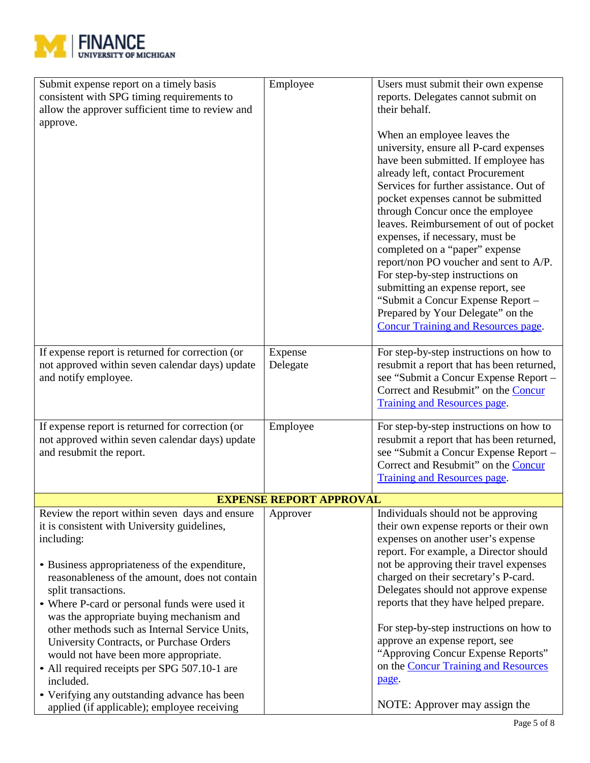

|                                | through Concur once the employee<br>leaves. Reimbursement of out of pocket<br>expenses, if necessary, must be<br>completed on a "paper" expense<br>report/non PO voucher and sent to A/P.<br>For step-by-step instructions on<br>submitting an expense report, see<br>"Submit a Concur Expense Report -<br>Prepared by Your Delegate" on the<br><b>Concur Training and Resources page.</b>                                                                                                                                                    |
|--------------------------------|-----------------------------------------------------------------------------------------------------------------------------------------------------------------------------------------------------------------------------------------------------------------------------------------------------------------------------------------------------------------------------------------------------------------------------------------------------------------------------------------------------------------------------------------------|
| Expense<br>Delegate            | For step-by-step instructions on how to<br>resubmit a report that has been returned,<br>see "Submit a Concur Expense Report -<br>Correct and Resubmit" on the Concur<br><b>Training and Resources page.</b>                                                                                                                                                                                                                                                                                                                                   |
| Employee                       | For step-by-step instructions on how to<br>resubmit a report that has been returned,<br>see "Submit a Concur Expense Report -<br>Correct and Resubmit" on the Concur<br><b>Training and Resources page.</b>                                                                                                                                                                                                                                                                                                                                   |
| <b>EXPENSE REPORT APPROVAL</b> |                                                                                                                                                                                                                                                                                                                                                                                                                                                                                                                                               |
| Approver                       | Individuals should not be approving<br>their own expense reports or their own<br>expenses on another user's expense<br>report. For example, a Director should<br>not be approving their travel expenses<br>charged on their secretary's P-card.<br>Delegates should not approve expense<br>reports that they have helped prepare.<br>For step-by-step instructions on how to<br>approve an expense report, see<br>"Approving Concur Expense Reports"<br>on the <b>Concur Training and Resources</b><br>page.<br>NOTE: Approver may assign the |
|                                |                                                                                                                                                                                                                                                                                                                                                                                                                                                                                                                                               |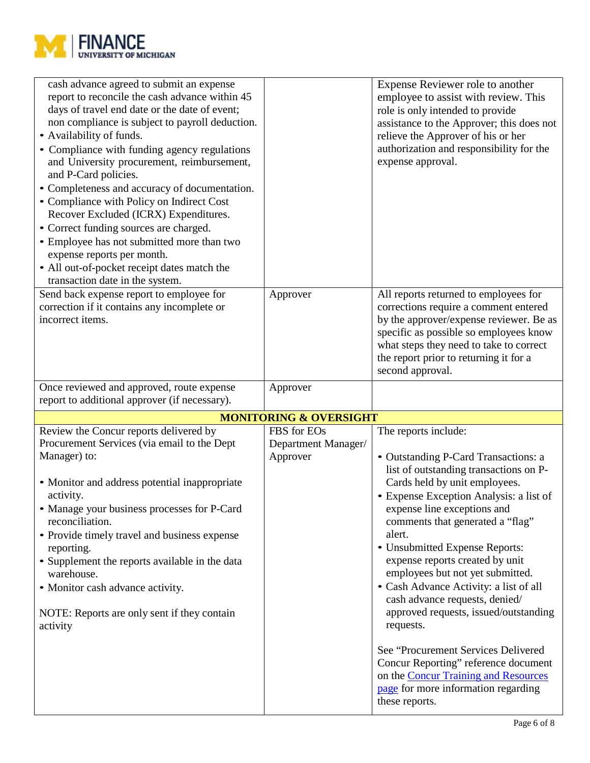![](_page_5_Picture_0.jpeg)

| cash advance agreed to submit an expense<br>report to reconcile the cash advance within 45<br>days of travel end date or the date of event;<br>non compliance is subject to payroll deduction.<br>• Availability of funds.<br>• Compliance with funding agency regulations<br>and University procurement, reimbursement,<br>and P-Card policies.<br>• Completeness and accuracy of documentation.<br>• Compliance with Policy on Indirect Cost<br>Recover Excluded (ICRX) Expenditures.<br>• Correct funding sources are charged.<br>• Employee has not submitted more than two<br>expense reports per month.<br>• All out-of-pocket receipt dates match the<br>transaction date in the system. |                                                | Expense Reviewer role to another<br>employee to assist with review. This<br>role is only intended to provide<br>assistance to the Approver; this does not<br>relieve the Approver of his or her<br>authorization and responsibility for the<br>expense approval.                                                                                                                                                                                                                                                                                                                                                                                                                           |
|-------------------------------------------------------------------------------------------------------------------------------------------------------------------------------------------------------------------------------------------------------------------------------------------------------------------------------------------------------------------------------------------------------------------------------------------------------------------------------------------------------------------------------------------------------------------------------------------------------------------------------------------------------------------------------------------------|------------------------------------------------|--------------------------------------------------------------------------------------------------------------------------------------------------------------------------------------------------------------------------------------------------------------------------------------------------------------------------------------------------------------------------------------------------------------------------------------------------------------------------------------------------------------------------------------------------------------------------------------------------------------------------------------------------------------------------------------------|
| Send back expense report to employee for<br>correction if it contains any incomplete or<br>incorrect items.                                                                                                                                                                                                                                                                                                                                                                                                                                                                                                                                                                                     | Approver                                       | All reports returned to employees for<br>corrections require a comment entered<br>by the approver/expense reviewer. Be as<br>specific as possible so employees know<br>what steps they need to take to correct<br>the report prior to returning it for a<br>second approval.                                                                                                                                                                                                                                                                                                                                                                                                               |
| Once reviewed and approved, route expense<br>report to additional approver (if necessary).                                                                                                                                                                                                                                                                                                                                                                                                                                                                                                                                                                                                      | Approver                                       |                                                                                                                                                                                                                                                                                                                                                                                                                                                                                                                                                                                                                                                                                            |
|                                                                                                                                                                                                                                                                                                                                                                                                                                                                                                                                                                                                                                                                                                 | <b>MONITORING &amp; OVERSIGHT</b>              |                                                                                                                                                                                                                                                                                                                                                                                                                                                                                                                                                                                                                                                                                            |
| Review the Concur reports delivered by<br>Procurement Services (via email to the Dept<br>Manager) to:<br>• Monitor and address potential inappropriate<br>activity.<br>• Manage your business processes for P-Card<br>reconciliation.<br>• Provide timely travel and business expense<br>reporting.<br>• Supplement the reports available in the data<br>warehouse.<br>• Monitor cash advance activity.<br>NOTE: Reports are only sent if they contain<br>activity                                                                                                                                                                                                                              | FBS for EOs<br>Department Manager/<br>Approver | The reports include:<br>• Outstanding P-Card Transactions: a<br>list of outstanding transactions on P-<br>Cards held by unit employees.<br>• Expense Exception Analysis: a list of<br>expense line exceptions and<br>comments that generated a "flag"<br>alert.<br>• Unsubmitted Expense Reports:<br>expense reports created by unit<br>employees but not yet submitted.<br>• Cash Advance Activity: a list of all<br>cash advance requests, denied/<br>approved requests, issued/outstanding<br>requests.<br>See "Procurement Services Delivered<br>Concur Reporting" reference document<br>on the Concur Training and Resources<br>page for more information regarding<br>these reports. |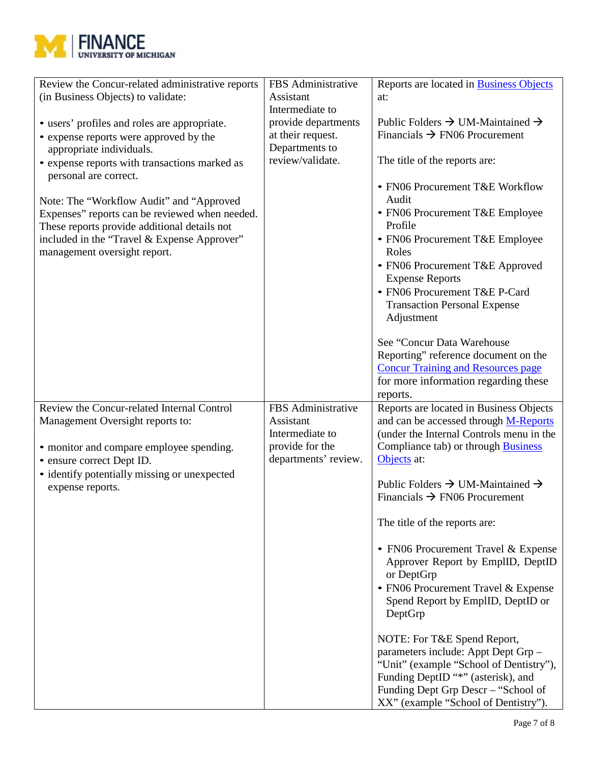![](_page_6_Picture_0.jpeg)

| Review the Concur-related administrative reports                                           | FBS Administrative   | Reports are located in <b>Business Objects</b>                            |
|--------------------------------------------------------------------------------------------|----------------------|---------------------------------------------------------------------------|
| (in Business Objects) to validate:                                                         | Assistant            | at:                                                                       |
|                                                                                            | Intermediate to      |                                                                           |
| • users' profiles and roles are appropriate.                                               | provide departments  | Public Folders $\rightarrow$ UM-Maintained $\rightarrow$                  |
| • expense reports were approved by the                                                     | at their request.    | Financials $\rightarrow$ FN06 Procurement                                 |
| appropriate individuals.                                                                   | Departments to       |                                                                           |
|                                                                                            | review/validate.     | The title of the reports are:                                             |
| • expense reports with transactions marked as<br>personal are correct.                     |                      |                                                                           |
|                                                                                            |                      | • FN06 Procurement T&E Workflow                                           |
|                                                                                            |                      | Audit                                                                     |
| Note: The "Workflow Audit" and "Approved<br>Expenses" reports can be reviewed when needed. |                      | • FN06 Procurement T&E Employee                                           |
| These reports provide additional details not                                               |                      | Profile                                                                   |
| included in the "Travel & Expense Approver"                                                |                      | • FN06 Procurement T&E Employee                                           |
| management oversight report.                                                               |                      | Roles                                                                     |
|                                                                                            |                      | • FN06 Procurement T&E Approved                                           |
|                                                                                            |                      | <b>Expense Reports</b>                                                    |
|                                                                                            |                      | • FN06 Procurement T&E P-Card                                             |
|                                                                                            |                      | <b>Transaction Personal Expense</b>                                       |
|                                                                                            |                      | Adjustment                                                                |
|                                                                                            |                      |                                                                           |
|                                                                                            |                      | See "Concur Data Warehouse                                                |
|                                                                                            |                      | Reporting" reference document on the                                      |
|                                                                                            |                      | <b>Concur Training and Resources page</b>                                 |
|                                                                                            |                      | for more information regarding these                                      |
|                                                                                            |                      | reports.                                                                  |
| Review the Concur-related Internal Control                                                 | FBS Administrative   | Reports are located in Business Objects                                   |
| Management Oversight reports to:                                                           | Assistant            | and can be accessed through M-Reports                                     |
|                                                                                            | Intermediate to      | (under the Internal Controls menu in the                                  |
| • monitor and compare employee spending.                                                   | provide for the      | Compliance tab) or through <b>Business</b>                                |
| • ensure correct Dept ID.                                                                  | departments' review. | Objects at:                                                               |
| • identify potentially missing or unexpected                                               |                      |                                                                           |
| expense reports.                                                                           |                      | Public Folders $\rightarrow$ UM-Maintained $\rightarrow$                  |
|                                                                                            |                      | Financials $\rightarrow$ FN06 Procurement                                 |
|                                                                                            |                      |                                                                           |
|                                                                                            |                      | The title of the reports are:                                             |
|                                                                                            |                      | • FN06 Procurement Travel & Expense                                       |
|                                                                                            |                      | Approver Report by EmplID, DeptID                                         |
|                                                                                            |                      | or DeptGrp                                                                |
|                                                                                            |                      | • FN06 Procurement Travel & Expense                                       |
|                                                                                            |                      | Spend Report by EmplID, DeptID or                                         |
|                                                                                            |                      | DeptGrp                                                                   |
|                                                                                            |                      |                                                                           |
|                                                                                            |                      |                                                                           |
|                                                                                            |                      |                                                                           |
|                                                                                            |                      | NOTE: For T&E Spend Report,                                               |
|                                                                                            |                      | parameters include: Appt Dept Grp -                                       |
|                                                                                            |                      | "Unit" (example "School of Dentistry"),                                   |
|                                                                                            |                      | Funding DeptID "*" (asterisk), and<br>Funding Dept Grp Descr - "School of |